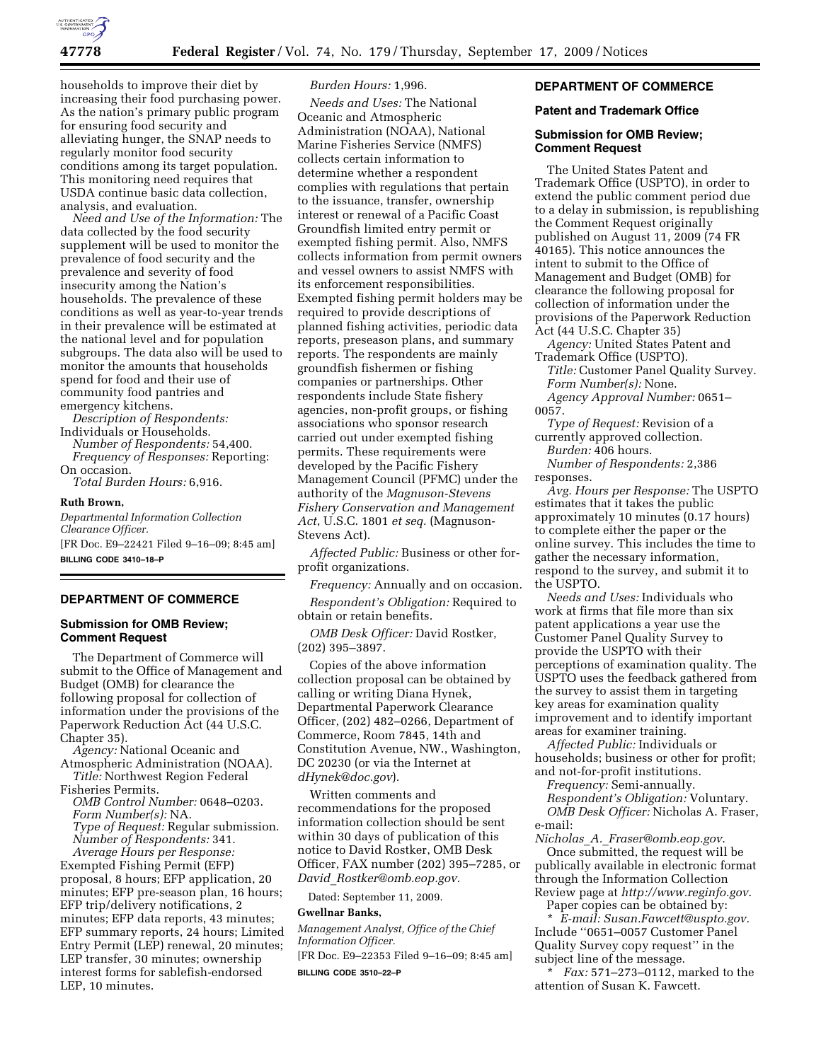

households to improve their diet by increasing their food purchasing power. As the nation's primary public program for ensuring food security and alleviating hunger, the SNAP needs to regularly monitor food security conditions among its target population. This monitoring need requires that USDA continue basic data collection, analysis, and evaluation.

*Need and Use of the Information:* The data collected by the food security supplement will be used to monitor the prevalence of food security and the prevalence and severity of food insecurity among the Nation's households. The prevalence of these conditions as well as year-to-year trends in their prevalence will be estimated at the national level and for population subgroups. The data also will be used to monitor the amounts that households spend for food and their use of community food pantries and emergency kitchens.

*Description of Respondents:*  Individuals or Households.

*Number of Respondents:* 54,400. *Frequency of Responses:* Reporting: On occasion.

*Total Burden Hours:* 6,916.

#### **Ruth Brown,**

*Departmental Information Collection Clearance Officer.*  [FR Doc. E9–22421 Filed 9–16–09; 8:45 am] **BILLING CODE 3410–18–P** 

#### **DEPARTMENT OF COMMERCE**

### **Submission for OMB Review; Comment Request**

The Department of Commerce will submit to the Office of Management and Budget (OMB) for clearance the following proposal for collection of information under the provisions of the Paperwork Reduction Act (44 U.S.C. Chapter 35).

*Agency:* National Oceanic and Atmospheric Administration (NOAA). *Title:* Northwest Region Federal

Fisheries Permits.

*OMB Control Number:* 0648–0203. *Form Number(s):* NA. *Type of Request:* Regular submission. *Number of Respondents:* 341.

*Average Hours per Response:*  Exempted Fishing Permit (EFP) proposal, 8 hours; EFP application, 20 minutes; EFP pre-season plan, 16 hours; EFP trip/delivery notifications, 2 minutes; EFP data reports, 43 minutes; EFP summary reports, 24 hours; Limited Entry Permit (LEP) renewal, 20 minutes; LEP transfer, 30 minutes; ownership interest forms for sablefish-endorsed LEP, 10 minutes.

## *Burden Hours:* 1,996.

*Needs and Uses:* The National Oceanic and Atmospheric Administration (NOAA), National Marine Fisheries Service (NMFS) collects certain information to determine whether a respondent complies with regulations that pertain to the issuance, transfer, ownership interest or renewal of a Pacific Coast Groundfish limited entry permit or exempted fishing permit. Also, NMFS collects information from permit owners and vessel owners to assist NMFS with its enforcement responsibilities. Exempted fishing permit holders may be required to provide descriptions of planned fishing activities, periodic data reports, preseason plans, and summary reports. The respondents are mainly groundfish fishermen or fishing companies or partnerships. Other respondents include State fishery agencies, non-profit groups, or fishing associations who sponsor research carried out under exempted fishing permits. These requirements were developed by the Pacific Fishery Management Council (PFMC) under the authority of the *Magnuson-Stevens Fishery Conservation and Management Act*, U.S.C. 1801 *et seq.* (Magnuson-Stevens Act).

*Affected Public:* Business or other forprofit organizations.

*Frequency:* Annually and on occasion.

*Respondent's Obligation:* Required to obtain or retain benefits.

*OMB Desk Officer:* David Rostker, (202) 395–3897.

Copies of the above information collection proposal can be obtained by calling or writing Diana Hynek, Departmental Paperwork Clearance Officer, (202) 482–0266, Department of Commerce, Room 7845, 14th and Constitution Avenue, NW., Washington, DC 20230 (or via the Internet at *dHynek@doc.gov*).

Written comments and recommendations for the proposed information collection should be sent within 30 days of publication of this notice to David Rostker, OMB Desk Officer, FAX number (202) 395–7285, or *David*\_*Rostker@omb.eop.gov.* 

Dated: September 11, 2009.

## **Gwellnar Banks,**

*Management Analyst, Office of the Chief Information Officer.* 

[FR Doc. E9–22353 Filed 9–16–09; 8:45 am] **BILLING CODE 3510–22–P** 

# **DEPARTMENT OF COMMERCE**

### **Patent and Trademark Office**

## **Submission for OMB Review; Comment Request**

The United States Patent and Trademark Office (USPTO), in order to extend the public comment period due to a delay in submission, is republishing the Comment Request originally published on August 11, 2009 (74 FR 40165). This notice announces the intent to submit to the Office of Management and Budget (OMB) for clearance the following proposal for collection of information under the provisions of the Paperwork Reduction Act (44 U.S.C. Chapter 35)

*Agency:* United States Patent and Trademark Office (USPTO).

*Title:* Customer Panel Quality Survey. *Form Number(s):* None. *Agency Approval Number:* 0651–

0057.

*Type of Request:* Revision of a currently approved collection. *Burden:* 406 hours.

*Number of Respondents:* 2,386 responses.

*Avg. Hours per Response:* The USPTO estimates that it takes the public approximately 10 minutes (0.17 hours) to complete either the paper or the online survey. This includes the time to gather the necessary information, respond to the survey, and submit it to the USPTO.

*Needs and Uses:* Individuals who work at firms that file more than six patent applications a year use the Customer Panel Quality Survey to provide the USPTO with their perceptions of examination quality. The USPTO uses the feedback gathered from the survey to assist them in targeting key areas for examination quality improvement and to identify important areas for examiner training.

*Affected Public:* Individuals or households; business or other for profit; and not-for-profit institutions.

*Frequency:* Semi-annually.

*Respondent's Obligation:* Voluntary. *OMB Desk Officer:* Nicholas A. Fraser, e-mail:

*Nicholas*\_*A.*\_*Fraser@omb.eop.gov*. Once submitted, the request will be publically available in electronic format through the Information Collection Review page at *http://www.reginfo.gov*.

Paper copies can be obtained by: \* *E-mail: Susan.Fawcett@uspto.gov.*  Include ''0651–0057 Customer Panel Quality Survey copy request'' in the subject line of the message.

*Fax:* 571–273–0112, marked to the attention of Susan K. Fawcett.